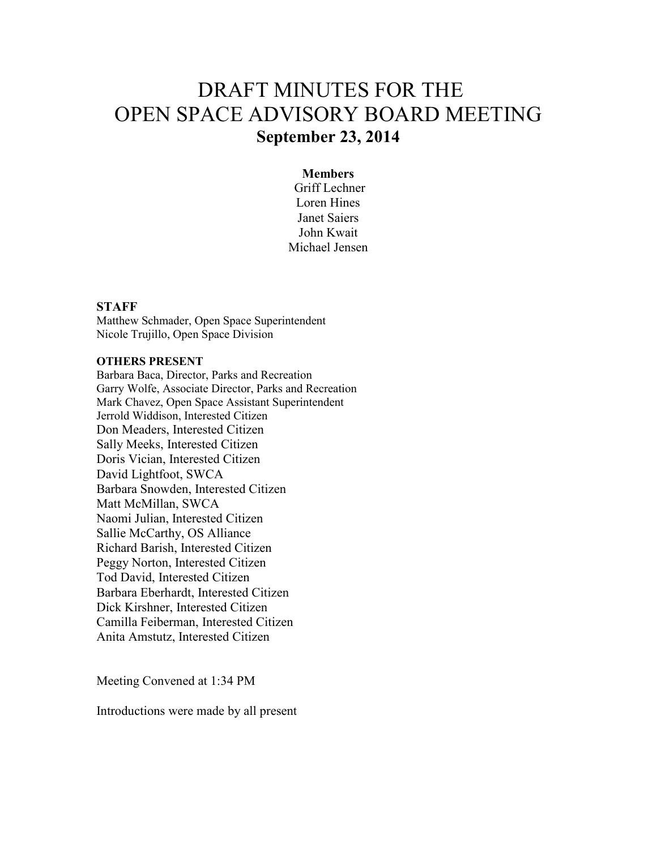# DRAFT MINUTES FOR THE OPEN SPACE ADVISORY BOARD MEETING **September 23, 2014**

## **Members**

 Griff Lechner Loren Hines Janet Saiers John Kwait Michael Jensen

## **STAFF**

Matthew Schmader, Open Space Superintendent Nicole Trujillo, Open Space Division

### **OTHERS PRESENT**

Barbara Baca, Director, Parks and Recreation Garry Wolfe, Associate Director, Parks and Recreation Mark Chavez, Open Space Assistant Superintendent Jerrold Widdison, Interested Citizen Don Meaders, Interested Citizen Sally Meeks, Interested Citizen Doris Vician, Interested Citizen David Lightfoot, SWCA Barbara Snowden, Interested Citizen Matt McMillan, SWCA Naomi Julian, Interested Citizen Sallie McCarthy, OS Alliance Richard Barish, Interested Citizen Peggy Norton, Interested Citizen Tod David, Interested Citizen Barbara Eberhardt, Interested Citizen Dick Kirshner, Interested Citizen Camilla Feiberman, Interested Citizen Anita Amstutz, Interested Citizen

Meeting Convened at 1:34 PM

Introductions were made by all present